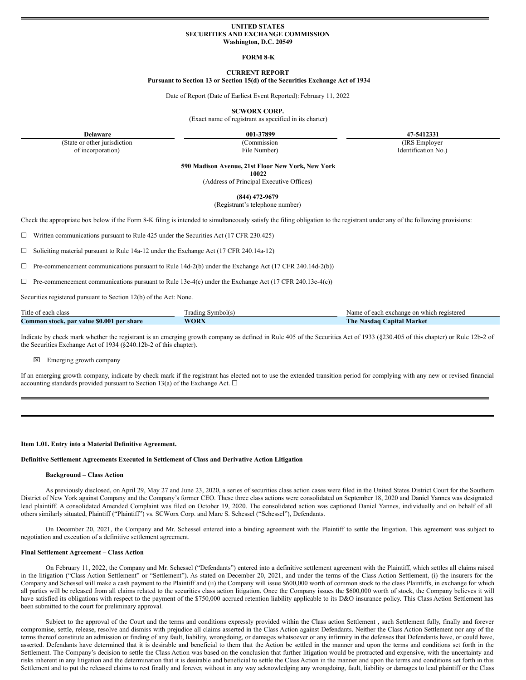## **UNITED STATES SECURITIES AND EXCHANGE COMMISSION Washington, D.C. 20549**

### **FORM 8-K**

## **CURRENT REPORT Pursuant to Section 13 or Section 15(d) of the Securities Exchange Act of 1934**

Date of Report (Date of Earliest Event Reported): February 11, 2022

**SCWORX CORP.**

(Exact name of registrant as specified in its charter)

**Delaware 001-37899 47-5412331**

(State or other jurisdiction of incorporation)

(Commission File Number)

(IRS Employer Identification No.)

**590 Madison Avenue, 21st Floor New York, New York**

**10022**

(Address of Principal Executive Offices)

**(844) 472-9679**

(Registrant's telephone number)

Check the appropriate box below if the Form 8-K filing is intended to simultaneously satisfy the filing obligation to the registrant under any of the following provisions:

☐ Written communications pursuant to Rule 425 under the Securities Act (17 CFR 230.425)

☐ Soliciting material pursuant to Rule 14a-12 under the Exchange Act (17 CFR 240.14a-12)

 $\Box$  Pre-commencement communications pursuant to Rule 14d-2(b) under the Exchange Act (17 CFR 240.14d-2(b))

 $\Box$  Pre-commencement communications pursuant to Rule 13e-4(c) under the Exchange Act (17 CFR 240.13e-4(c))

Securities registered pursuant to Section 12(b) of the Act: None.

| Title of each class                       | $\sim$<br>radıng<br>Symbol(s) | Name of each exchange on which registered  |
|-------------------------------------------|-------------------------------|--------------------------------------------|
| Common stock, par value \$0.001 per share | <b>WORX</b>                   | <b>The Nasdaq</b><br><b>Capital Market</b> |

Indicate by check mark whether the registrant is an emerging growth company as defined in Rule 405 of the Securities Act of 1933 (§230.405 of this chapter) or Rule 12b-2 of the Securities Exchange Act of 1934 (§240.12b-2 of this chapter).

x Emerging growth company

If an emerging growth company, indicate by check mark if the registrant has elected not to use the extended transition period for complying with any new or revised financial accounting standards provided pursuant to Section 13(a) of the Exchange Act.  $\Box$ 

## **Item 1.01. Entry into a Material Definitive Agreement.**

### **Definitive Settlement Agreements Executed in Settlement of Class and Derivative Action Litigation**

#### **Background – Class Action**

As previously disclosed, on April 29, May 27 and June 23, 2020, a series of securities class action cases were filed in the United States District Court for the Southern District of New York against Company and the Company's former CEO. These three class actions were consolidated on September 18, 2020 and Daniel Yannes was designated lead plaintiff. A consolidated Amended Complaint was filed on October 19, 2020. The consolidated action was captioned Daniel Yannes, individually and on behalf of all others similarly situated, Plaintiff ("Plaintiff") vs. SCWorx Corp. and Marc S. Schessel ("Schessel"), Defendants.

On December 20, 2021, the Company and Mr. Schessel entered into a binding agreement with the Plaintiff to settle the litigation. This agreement was subject to negotiation and execution of a definitive settlement agreement.

#### **Final Settlement Agreement – Class Action**

On February 11, 2022, the Company and Mr. Schessel ("Defendants") entered into a definitive settlement agreement with the Plaintiff, which settles all claims raised in the litigation ("Class Action Settlement" or "Settlement"). As stated on December 20, 2021, and under the terms of the Class Action Settlement, (i) the insurers for the Company and Schessel will make a cash payment to the Plaintiff and (ii) the Company will issue \$600,000 worth of common stock to the class Plaintiffs, in exchange for which all parties will be released from all claims related to the securities class action litigation. Once the Company issues the \$600,000 worth of stock, the Company believes it will have satisfied its obligations with respect to the payment of the \$750,000 accrued retention liability applicable to its D&O insurance policy. This Class Action Settlement has been submitted to the court for preliminary approval.

Subject to the approval of the Court and the terms and conditions expressly provided within the Class action Settlement, such Settlement fully, finally and forever compromise, settle, release, resolve and dismiss with prejudice all claims asserted in the Class Action against Defendants. Neither the Class Action Settlement nor any of the terms thereof constitute an admission or finding of any fault, liability, wrongdoing, or damages whatsoever or any infirmity in the defenses that Defendants have, or could have, asserted. Defendants have determined that it is desirable and beneficial to them that the Action be settled in the manner and upon the terms and conditions set forth in the Settlement. The Company's decision to settle the Class Action was based on the conclusion that further litigation would be protracted and expensive, with the uncertainty and risks inherent in any litigation and the determination that it is desirable and beneficial to settle the Class Action in the manner and upon the terms and conditions set forth in this Settlement and to put the released claims to rest finally and forever, without in any way acknowledging any wrongdoing, fault, liability or damages to lead plaintiff or the Class